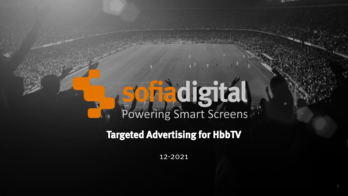# digital Powering Smart Screens

### **Targeted Advertising for HbbTV**

12-2021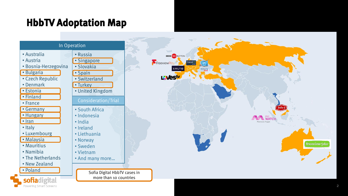## **HbbTV Adoptation Map**

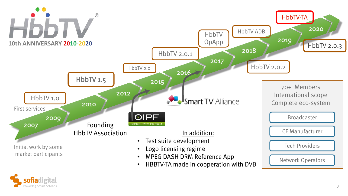

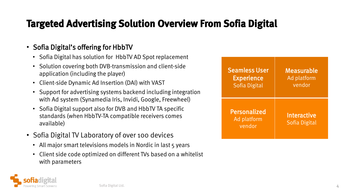## **Targeted Advertising Solution Overview From Sofia Digital**

#### • Sofia Digital's offering for HbbTV

- Sofia Digital has solution for HbbTV AD Spot replacement
- Solution covering both DVB-transmission and client-side application (including the player)
- Client-side Dynamic Ad Insertion (DAI) with VAST
- Support for advertising systems backend including integration with Ad system (Synamedia Iris, Invidi, Google, Freewheel)
- Sofia Digital support also for DVB and HbbTV TA specific standards (when HbbTV-TA compatible receivers comes available)
- Sofia Digital TV Laboratory of over 100 devices
	- All major smart televisions models in Nordic in last 5 years
	- Client side code optimized on different TVs based on a whitelist with parameters

| <b>Seamless User</b><br><b>Experience</b><br><b>Sofia Digital</b> | Measurable<br>Ad platform<br>vendor |
|-------------------------------------------------------------------|-------------------------------------|
| <b>Personalized</b><br>Ad platform<br>vendor                      | Interactive<br><b>Sofia Digital</b> |

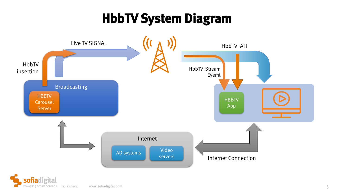## **HbbTV System Diagram**

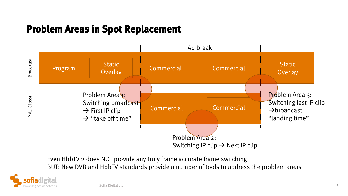#### **Problem Areas in Spot Replacement**



Even HbbTV 2 does NOT provide any truly frame accurate frame switching BUT: New DVB and HbbTV standards provide a number of tools to address the problem areas

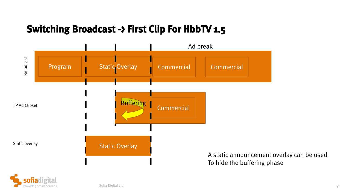## **Switching Broadcast -> First Clip For HbbTV 1.5**



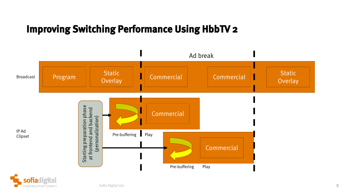#### **Improving Switching Performance Using HbbTV 2**



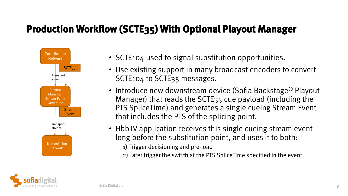## **Production Workflow (SCTE35) With Optional Playout Manager**



- SCTE104 used to signal substitution opportunities.
- Use existing support in many broadcast encoders to convert SCTE104 to SCTE35 messages.
- Introduce new downstream device (Sofia Backstage® Playout Manager) that reads the SCTE35 cue payload (including the PTS SpliceTime) and generates a single cueing Stream Event that includes the PTS of the splicing point.
- HbbTV application receives this single cueing stream event long before the substitution point, and uses it to both: 1) Trigger decisioning and pre-load
	- 2) Later trigger the switch at the PTS SpliceTime specified in the event.

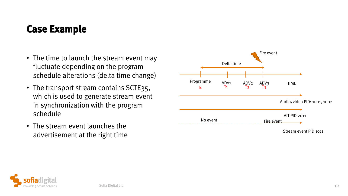#### **Case Example**

- The time to launch the stream event may fluctuate depending on the program schedule alterations (delta time change)
- The transport stream contains SCTE35, which is used to generate stream event in synchronization with the program schedule
- The stream event launches the advertisement at the right time



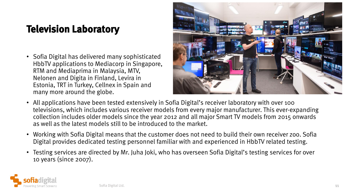## **Television Laboratory**

• Sofia Digital has delivered many sophisticated HbbTV applications to Mediacorp in Singapore, RTM and Mediaprima in Malaysia, MTV, Nelonen and Digita in Finland, Levira in Estonia, TRT in Turkey, Cellnex in Spain and many more around the globe.



- All applications have been tested extensively in Sofia Digital's receiver laboratory with over 100 televisions, which includes various receiver models from every major manufacturer. This ever-expanding collection includes older models since the year 2012 and all major Smart TV models from 2015 onwards as well as the latest models still to be introduced to the market.
- Working with Sofia Digital means that the customer does not need to build their own receiver zoo. Sofia Digital provides dedicated testing personnel familiar with and experienced in HbbTV related testing.
- Testing services are directed by Mr. Juha Joki, who has overseen Sofia Digital's testing services for over 10 years (since 2007).

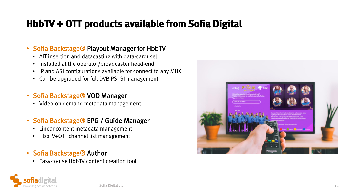## **HbbTV + OTT products available from Sofia Digital**

#### • Sofia Backstage® Playout Manager for HbbTV

- AIT insertion and datacasting with data-carousel
- Installed at the operator/broadcaster head-end
- IP and ASI configurations available for connect to any MUX
- Can be upgraded for full DVB PSI-SI management

#### • Sofia Backstage® VOD Manager

• Video-on demand metadata management

#### • Sofia Backstage® EPG / Guide Manager

- Linear content metadata management
- HbbTV+OTT channel list management
- Sofia Backstage® Author
	- Easy-to-use HbbTV content creation tool